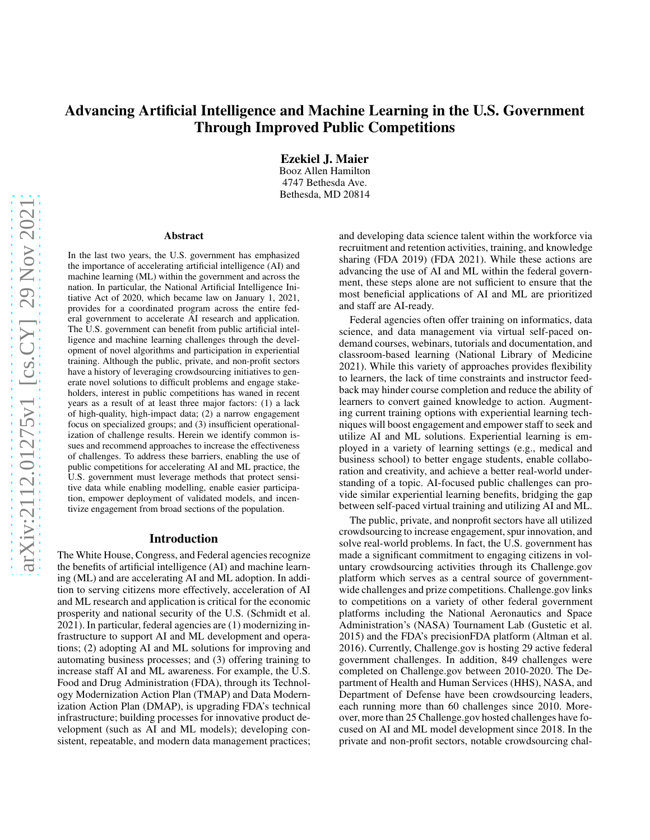# Advancing Artificial Intelligence and Machine Learning in the U.S. Government Through Improved Public Competitions

Ezekiel J. Maier Booz Allen Hamilton 4747 Bethesda Ave. Bethesda, MD 20814

#### Abstract

In the last two years, the U.S. government has emphasized the importance of accelerating artificial intelligence (AI) and machine learning (ML) within the government and across the nation. In particular, the National Artificial Intelligence Initiative Act of 2020, which became law on January 1, 2021, provides for a coordinated program across the entire federal government to accelerate AI research and application. The U.S. government can benefit from public artificial intelligence and machine learning challenges through the development of novel algorithms and participation in experiential training. Although the public, private, and non-profit sectors have a history of leveraging crowdsourcing initiatives to generate novel solutions to difficult problems and engage stakeholders, interest in public competitions has waned in recent years as a result of at least three major factors: (1) a lack of high-quality, high-impact data; (2) a narrow engagement focus on specialized groups; and (3) insufficient operationalization of challenge results. Herein we identify common issues and recommend approaches to increase the effectiveness of challenges. To address these barriers, enabling the use of public competitions for accelerating AI and ML practice, the U.S. government must leverage methods that protect sensitive data while enabling modelling, enable easier participation, empower deployment of validated models, and incentivize engagement from broad sections of the population.

#### Introduction

The White House, Congress, and Federal agencies recognize the benefits of artificial intelligence (AI) and machine learning (ML) and are accelerating AI and ML adoption. In addition to serving citizens more effectively, acceleration of AI and ML research and application is critical for the economic prosperity and national security of the U.S. (Schmidt et al. 2021). In particular, federal agencies are (1) modernizing infrastructure to support AI and ML development and operations; (2) adopting AI and ML solutions for improving and automating business processes; and (3) offering training to increase staff AI and ML awareness. For example, the U.S. Food and Drug Administration (FDA), through its Technology Modernization Action Plan (TMAP) and Data Modernization Action Plan (DMAP), is upgrading FDA's technical infrastructure; building processes for innovative product development (such as AI and ML models); developing consistent, repeatable, and modern data management practices;

and developing data science talent within the workforce via recruitment and retention activities, training, and knowledge sharing (FDA 2019) (FDA 2021). While these actions are advancing the use of AI and ML within the federal government, these steps alone are not sufficient to ensure that the most beneficial applications of AI and ML are prioritized and staff are AI-ready.

Federal agencies often offer training on informatics, data science, and data management via virtual self-paced ondemand courses, webinars, tutorials and documentation, and classroom-based learning (National Library of Medicine 2021). While this variety of approaches provides flexibility to learners, the lack of time constraints and instructor feedback may hinder course completion and reduce the ability of learners to convert gained knowledge to action. Augmenting current training options with experiential learning techniques will boost engagement and empower staff to seek and utilize AI and ML solutions. Experiential learning is employed in a variety of learning settings (e.g., medical and business school) to better engage students, enable collaboration and creativity, and achieve a better real-world understanding of a topic. AI-focused public challenges can provide similar experiential learning benefits, bridging the gap between self-paced virtual training and utilizing AI and ML.

The public, private, and nonprofit sectors have all utilized crowdsourcing to increase engagement, spur innovation, and solve real-world problems. In fact, the U.S. government has made a significant commitment to engaging citizens in voluntary crowdsourcing activities through its Challenge.gov platform which serves as a central source of governmentwide challenges and prize competitions. Challenge.gov links to competitions on a variety of other federal government platforms including the National Aeronautics and Space Administration's (NASA) Tournament Lab (Gustetic et al. 2015) and the FDA's precisionFDA platform (Altman et al. 2016). Currently, Challenge.gov is hosting 29 active federal government challenges. In addition, 849 challenges were completed on Challenge.gov between 2010-2020. The Department of Health and Human Services (HHS), NASA, and Department of Defense have been crowdsourcing leaders, each running more than 60 challenges since 2010. Moreover, more than 25 Challenge.gov hosted challenges have focused on AI and ML model development since 2018. In the private and non-profit sectors, notable crowdsourcing chal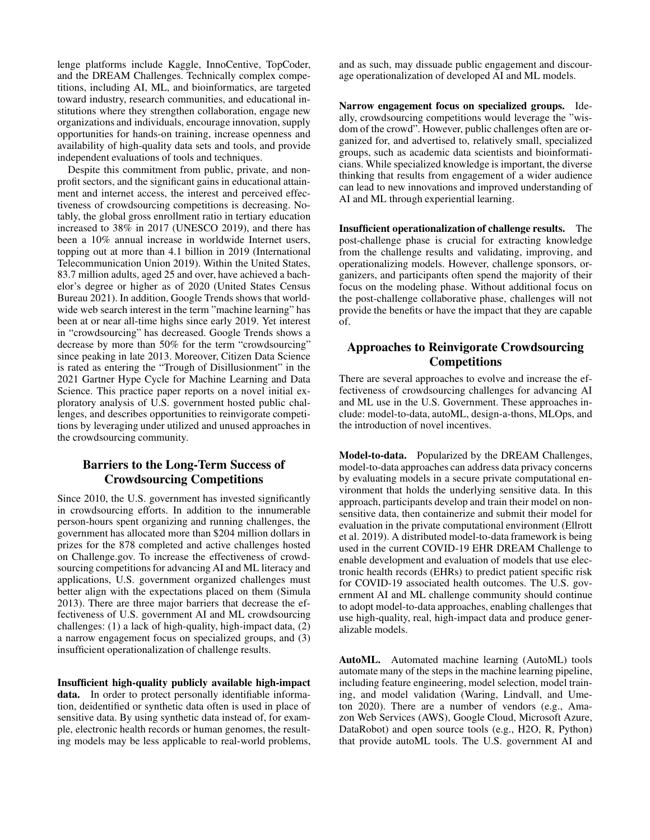lenge platforms include Kaggle, InnoCentive, TopCoder, and the DREAM Challenges. Technically complex competitions, including AI, ML, and bioinformatics, are targeted toward industry, research communities, and educational institutions where they strengthen collaboration, engage new organizations and individuals, encourage innovation, supply opportunities for hands-on training, increase openness and availability of high-quality data sets and tools, and provide independent evaluations of tools and techniques.

Despite this commitment from public, private, and nonprofit sectors, and the significant gains in educational attainment and internet access, the interest and perceived effectiveness of crowdsourcing competitions is decreasing. Notably, the global gross enrollment ratio in tertiary education increased to 38% in 2017 (UNESCO 2019), and there has been a 10% annual increase in worldwide Internet users, topping out at more than 4.1 billion in 2019 (International Telecommunication Union 2019). Within the United States, 83.7 million adults, aged 25 and over, have achieved a bachelor's degree or higher as of 2020 (United States Census Bureau 2021). In addition, Google Trends shows that worldwide web search interest in the term "machine learning" has been at or near all-time highs since early 2019. Yet interest in "crowdsourcing" has decreased. Google Trends shows a decrease by more than 50% for the term "crowdsourcing" since peaking in late 2013. Moreover, Citizen Data Science is rated as entering the "Trough of Disillusionment" in the 2021 Gartner Hype Cycle for Machine Learning and Data Science. This practice paper reports on a novel initial exploratory analysis of U.S. government hosted public challenges, and describes opportunities to reinvigorate competitions by leveraging under utilized and unused approaches in the crowdsourcing community.

## Barriers to the Long-Term Success of Crowdsourcing Competitions

Since 2010, the U.S. government has invested significantly in crowdsourcing efforts. In addition to the innumerable person-hours spent organizing and running challenges, the government has allocated more than \$204 million dollars in prizes for the 878 completed and active challenges hosted on Challenge.gov. To increase the effectiveness of crowdsourcing competitions for advancing AI and ML literacy and applications, U.S. government organized challenges must better align with the expectations placed on them (Simula 2013). There are three major barriers that decrease the effectiveness of U.S. government AI and ML crowdsourcing challenges: (1) a lack of high-quality, high-impact data, (2) a narrow engagement focus on specialized groups, and (3) insufficient operationalization of challenge results.

Insufficient high-quality publicly available high-impact data. In order to protect personally identifiable information, deidentified or synthetic data often is used in place of sensitive data. By using synthetic data instead of, for example, electronic health records or human genomes, the resulting models may be less applicable to real-world problems,

and as such, may dissuade public engagement and discourage operationalization of developed AI and ML models.

Narrow engagement focus on specialized groups. Ideally, crowdsourcing competitions would leverage the "wisdom of the crowd". However, public challenges often are organized for, and advertised to, relatively small, specialized groups, such as academic data scientists and bioinformaticians. While specialized knowledge is important, the diverse thinking that results from engagement of a wider audience can lead to new innovations and improved understanding of AI and ML through experiential learning.

Insufficient operationalization of challenge results. The post-challenge phase is crucial for extracting knowledge from the challenge results and validating, improving, and operationalizing models. However, challenge sponsors, organizers, and participants often spend the majority of their focus on the modeling phase. Without additional focus on the post-challenge collaborative phase, challenges will not provide the benefits or have the impact that they are capable of.

### Approaches to Reinvigorate Crowdsourcing Competitions

There are several approaches to evolve and increase the effectiveness of crowdsourcing challenges for advancing AI and ML use in the U.S. Government. These approaches include: model-to-data, autoML, design-a-thons, MLOps, and the introduction of novel incentives.

Model-to-data. Popularized by the DREAM Challenges, model-to-data approaches can address data privacy concerns by evaluating models in a secure private computational environment that holds the underlying sensitive data. In this approach, participants develop and train their model on nonsensitive data, then containerize and submit their model for evaluation in the private computational environment (Ellrott et al. 2019). A distributed model-to-data framework is being used in the current COVID-19 EHR DREAM Challenge to enable development and evaluation of models that use electronic health records (EHRs) to predict patient specific risk for COVID-19 associated health outcomes. The U.S. government AI and ML challenge community should continue to adopt model-to-data approaches, enabling challenges that use high-quality, real, high-impact data and produce generalizable models.

AutoML. Automated machine learning (AutoML) tools automate many of the steps in the machine learning pipeline, including feature engineering, model selection, model training, and model validation (Waring, Lindvall, and Umeton 2020). There are a number of vendors (e.g., Amazon Web Services (AWS), Google Cloud, Microsoft Azure, DataRobot) and open source tools (e.g., H2O, R, Python) that provide autoML tools. The U.S. government AI and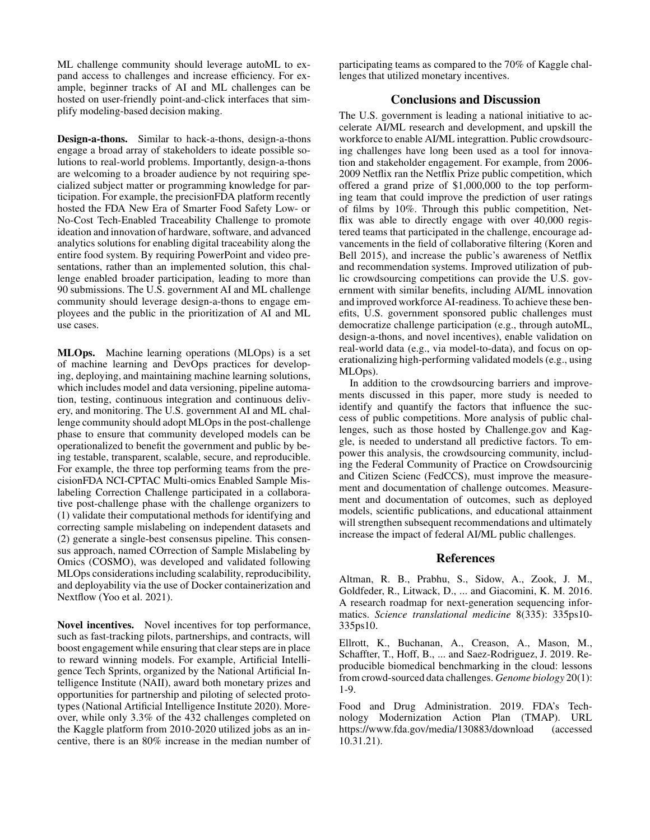ML challenge community should leverage autoML to expand access to challenges and increase efficiency. For example, beginner tracks of AI and ML challenges can be hosted on user-friendly point-and-click interfaces that simplify modeling-based decision making.

Design-a-thons. Similar to hack-a-thons, design-a-thons engage a broad array of stakeholders to ideate possible solutions to real-world problems. Importantly, design-a-thons are welcoming to a broader audience by not requiring specialized subject matter or programming knowledge for participation. For example, the precisionFDA platform recently hosted the FDA New Era of Smarter Food Safety Low- or No-Cost Tech-Enabled Traceability Challenge to promote ideation and innovation of hardware, software, and advanced analytics solutions for enabling digital traceability along the entire food system. By requiring PowerPoint and video presentations, rather than an implemented solution, this challenge enabled broader participation, leading to more than 90 submissions. The U.S. government AI and ML challenge community should leverage design-a-thons to engage employees and the public in the prioritization of AI and ML use cases.

MLOps. Machine learning operations (MLOps) is a set of machine learning and DevOps practices for developing, deploying, and maintaining machine learning solutions, which includes model and data versioning, pipeline automation, testing, continuous integration and continuous delivery, and monitoring. The U.S. government AI and ML challenge community should adopt MLOps in the post-challenge phase to ensure that community developed models can be operationalized to benefit the government and public by being testable, transparent, scalable, secure, and reproducible. For example, the three top performing teams from the precisionFDA NCI-CPTAC Multi-omics Enabled Sample Mislabeling Correction Challenge participated in a collaborative post-challenge phase with the challenge organizers to (1) validate their computational methods for identifying and correcting sample mislabeling on independent datasets and (2) generate a single-best consensus pipeline. This consensus approach, named COrrection of Sample Mislabeling by Omics (COSMO), was developed and validated following MLOps considerations including scalability, reproducibility, and deployability via the use of Docker containerization and Nextflow (Yoo et al. 2021).

Novel incentives. Novel incentives for top performance, such as fast-tracking pilots, partnerships, and contracts, will boost engagement while ensuring that clear steps are in place to reward winning models. For example, Artificial Intelligence Tech Sprints, organized by the National Artificial Intelligence Institute (NAII), award both monetary prizes and opportunities for partnership and piloting of selected prototypes (National Artificial Intelligence Institute 2020). Moreover, while only 3.3% of the 432 challenges completed on the Kaggle platform from 2010-2020 utilized jobs as an incentive, there is an 80% increase in the median number of participating teams as compared to the 70% of Kaggle challenges that utilized monetary incentives.

### Conclusions and Discussion

The U.S. government is leading a national initiative to accelerate AI/ML research and development, and upskill the workforce to enable AI/ML integrattion. Public crowdsourcing challenges have long been used as a tool for innovation and stakeholder engagement. For example, from 2006- 2009 Netflix ran the Netflix Prize public competition, which offered a grand prize of \$1,000,000 to the top performing team that could improve the prediction of user ratings of films by 10%. Through this public competition, Netflix was able to directly engage with over 40,000 registered teams that participated in the challenge, encourage advancements in the field of collaborative filtering (Koren and Bell 2015), and increase the public's awareness of Netflix and recommendation systems. Improved utilization of public crowdsourcing competitions can provide the U.S. government with similar benefits, including AI/ML innovation and improved workforce AI-readiness. To achieve these benefits, U.S. government sponsored public challenges must democratize challenge participation (e.g., through autoML, design-a-thons, and novel incentives), enable validation on real-world data (e.g., via model-to-data), and focus on operationalizing high-performing validated models (e.g., using MLOps).

In addition to the crowdsourcing barriers and improvements discussed in this paper, more study is needed to identify and quantify the factors that influence the success of public competitions. More analysis of public challenges, such as those hosted by Challenge.gov and Kaggle, is needed to understand all predictive factors. To empower this analysis, the crowdsourcing community, including the Federal Community of Practice on Crowdsourcinig and Citizen Scienc (FedCCS), must improve the measurement and documentation of challenge outcomes. Measurement and documentation of outcomes, such as deployed models, scientific publications, and educational attainment will strengthen subsequent recommendations and ultimately increase the impact of federal AI/ML public challenges.

### References

Altman, R. B., Prabhu, S., Sidow, A., Zook, J. M., Goldfeder, R., Litwack, D., ... and Giacomini, K. M. 2016. A research roadmap for next-generation sequencing informatics. *Science translational medicine* 8(335): 335ps10- 335ps10.

Ellrott, K., Buchanan, A., Creason, A., Mason, M., Schaffter, T., Hoff, B., ... and Saez-Rodriguez, J. 2019. Reproducible biomedical benchmarking in the cloud: lessons from crowd-sourced data challenges. *Genome biology* 20(1): 1-9.

Food and Drug Administration. 2019. FDA's Technology Modernization Action Plan (TMAP). URL https://www.fda.gov/media/130883/download (accessed 10.31.21).